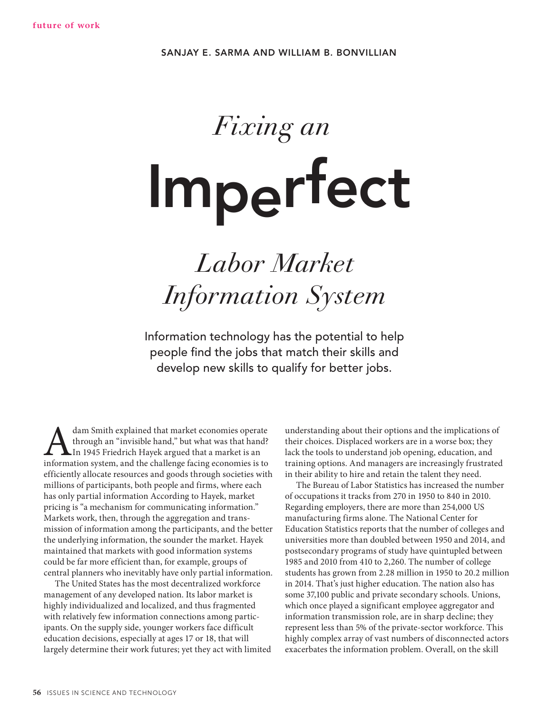# Fixing an **Imperfect**

## Labor Market Information System

Information technology has the potential to help people find the jobs that match their skills and develop new skills to qualify for better jobs.

dam Smith explained that market economies operate<br>through an "invisible hand," but what was that hand?<br>In 1945 Friedrich Hayek argued that a market is an<br>information system, and the challenge facing economies is to through an "invisible hand," but what was that hand? In 1945 Friedrich Hayek argued that a market is an information system, and the challenge facing economies is to efficiently allocate resources and goods through societies with millions of participants, both people and firms, where each has only partial information According to Hayek, market pricing is "a mechanism for communicating information." Markets work, then, through the aggregation and transmission of information among the participants, and the better the underlying information, the sounder the market. Hayek maintained that markets with good information systems could be far more efficient than, for example, groups of central planners who inevitably have only partial information.

The United States has the most decentralized workforce management of any developed nation. Its labor market is highly individualized and localized, and thus fragmented with relatively few information connections among participants. On the supply side, younger workers face difficult education decisions, especially at ages 17 or 18, that will largely determine their work futures; yet they act with limited understanding about their options and the implications of their choices. Displaced workers are in a worse box; they lack the tools to understand job opening, education, and training options. And managers are increasingly frustrated in their ability to hire and retain the talent they need.

The Bureau of Labor Statistics has increased the number of occupations it tracks from 270 in 1950 to 840 in 2010. Regarding employers, there are more than 254,000 US manufacturing firms alone. The National Center for Education Statistics reports that the number of colleges and universities more than doubled between 1950 and 2014, and postsecondary programs of study have quintupled between 1985 and 2010 from 410 to 2,260. The number of college students has grown from 2.28 million in 1950 to 20.2 million in 2014. That's just higher education. The nation also has some 37,100 public and private secondary schools. Unions, which once played a significant employee aggregator and information transmission role, are in sharp decline; they represent less than 5% of the private-sector workforce. This highly complex array of vast numbers of disconnected actors exacerbates the information problem. Overall, on the skill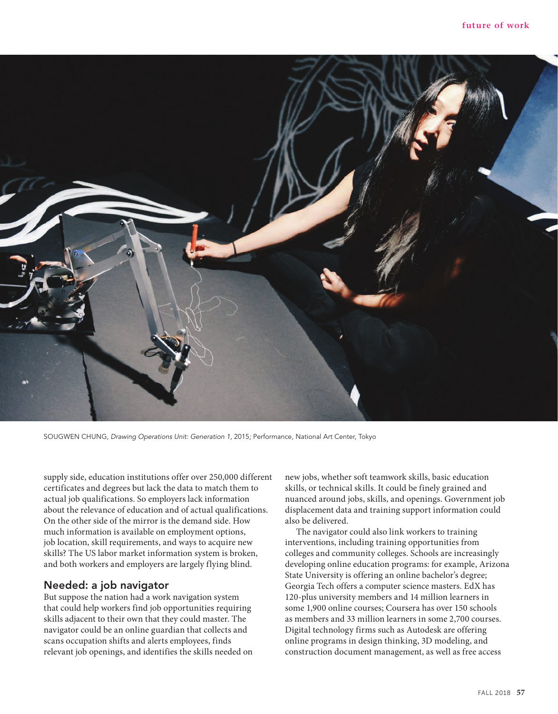

SOUGWEN CHUNG, *Drawing Operations Unit: Generation 1*, 2015*;* Performance, National Art Center, Tokyo

supply side, education institutions offer over 250,000 different certificates and degrees but lack the data to match them to actual job qualifications. So employers lack information about the relevance of education and of actual qualifications. On the other side of the mirror is the demand side. How much information is available on employment options, job location, skill requirements, and ways to acquire new skills? The US labor market information system is broken, and both workers and employers are largely flying blind.

### **Needed: a job navigator**

But suppose the nation had a work navigation system that could help workers find job opportunities requiring skills adjacent to their own that they could master. The navigator could be an online guardian that collects and scans occupation shifts and alerts employees, finds relevant job openings, and identifies the skills needed on new jobs, whether soft teamwork skills, basic education skills, or technical skills. It could be finely grained and nuanced around jobs, skills, and openings. Government job displacement data and training support information could also be delivered.

The navigator could also link workers to training interventions, including training opportunities from colleges and community colleges. Schools are increasingly developing online education programs: for example, Arizona State University is offering an online bachelor's degree; Georgia Tech offers a computer science masters. EdX has 120-plus university members and 14 million learners in some 1,900 online courses; Coursera has over 150 schools as members and 33 million learners in some 2,700 courses. Digital technology firms such as Autodesk are offering online programs in design thinking, 3D modeling, and construction document management, as well as free access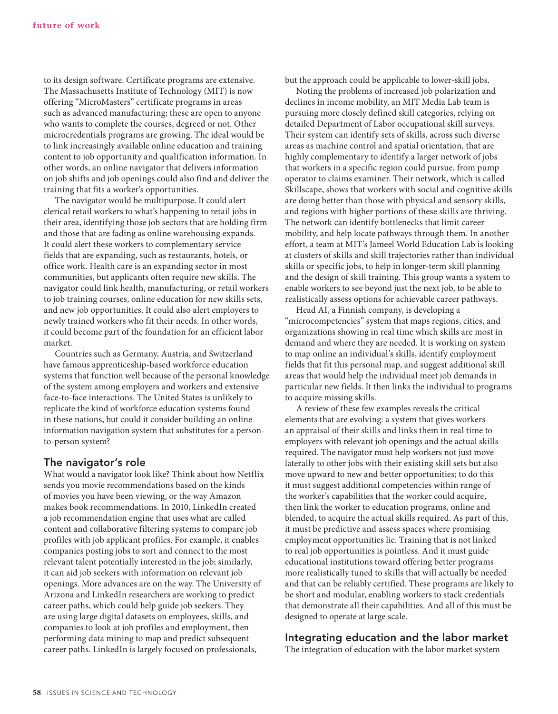to its design software. Certificate programs are extensive. The Massachusetts Institute of Technology (MIT) is now offering "MicroMasters" certificate programs in areas such as advanced manufacturing; these are open to anyone who wants to complete the courses, degreed or not. Other microcredentials programs are growing. The ideal would be to link increasingly available online education and training content to job opportunity and qualification information. In other words, an online navigator that delivers information on job shifts and job openings could also find and deliver the training that fits a worker's opportunities.

The navigator would be multipurpose. It could alert clerical retail workers to what's happening to retail jobs in their area, identifying those job sectors that are holding firm and those that are fading as online warehousing expands. It could alert these workers to complementary service fields that are expanding, such as restaurants, hotels, or office work. Health care is an expanding sector in most communities, but applicants often require new skills. The navigator could link health, manufacturing, or retail workers to job training courses, online education for new skills sets, and new job opportunities. It could also alert employers to newly trained workers who fit their needs. In other words, it could become part of the foundation for an efficient labor market.

Countries such as Germany, Austria, and Switzerland have famous apprenticeship-based workforce education systems that function well because of the personal knowledge of the system among employers and workers and extensive face-to-face interactions. The United States is unlikely to replicate the kind of workforce education systems found in these nations, but could it consider building an online information navigation system that substitutes for a personto-person system?

#### **The navigator's role**

What would a navigator look like? Think about how Netflix sends you movie recommendations based on the kinds of movies you have been viewing, or the way Amazon makes book recommendations. In 2010, LinkedIn created a job recommendation engine that uses what are called content and collaborative filtering systems to compare job profiles with job applicant profiles. For example, it enables companies posting jobs to sort and connect to the most relevant talent potentially interested in the job; similarly, it can aid job seekers with information on relevant job openings. More advances are on the way. The University of Arizona and LinkedIn researchers are working to predict career paths, which could help guide job seekers. They are using large digital datasets on employees, skills, and companies to look at job profiles and employment, then performing data mining to map and predict subsequent career paths. LinkedIn is largely focused on professionals,

but the approach could be applicable to lower-skill jobs.

Noting the problems of increased job polarization and declines in income mobility, an MIT Media Lab team is pursuing more closely defined skill categories, relying on detailed Department of Labor occupational skill surveys. Their system can identify sets of skills, across such diverse areas as machine control and spatial orientation, that are highly complementary to identify a larger network of jobs that workers in a specific region could pursue, from pump operator to claims examiner. Their network, which is called Skillscape, shows that workers with social and cognitive skills are doing better than those with physical and sensory skills, and regions with higher portions of these skills are thriving. The network can identify bottlenecks that limit career mobility, and help locate pathways through them. In another effort, a team at MIT's Jameel World Education Lab is looking at clusters of skills and skill trajectories rather than individual skills or specific jobs, to help in longer-term skill planning and the design of skill training. This group wants a system to enable workers to see beyond just the next job, to be able to realistically assess options for achievable career pathways.

Head AI, a Finnish company, is developing a "microcompetencies" system that maps regions, cities, and organizations showing in real time which skills are most in demand and where they are needed. It is working on system to map online an individual's skills, identify employment fields that fit this personal map, and suggest additional skill areas that would help the individual meet job demands in particular new fields. It then links the individual to programs to acquire missing skills.

A review of these few examples reveals the critical elements that are evolving: a system that gives workers an appraisal of their skills and links them in real time to employers with relevant job openings and the actual skills required. The navigator must help workers not just move laterally to other jobs with their existing skill sets but also move upward to new and better opportunities; to do this it must suggest additional competencies within range of the worker's capabilities that the worker could acquire, then link the worker to education programs, online and blended, to acquire the actual skills required. As part of this, it must be predictive and assess spaces where promising employment opportunities lie. Training that is not linked to real job opportunities is pointless. And it must guide educational institutions toward offering better programs more realistically tuned to skills that will actually be needed and that can be reliably certified. These programs are likely to be short and modular, enabling workers to stack credentials that demonstrate all their capabilities. And all of this must be designed to operate at large scale.

#### **Integrating education and the labor market**

The integration of education with the labor market system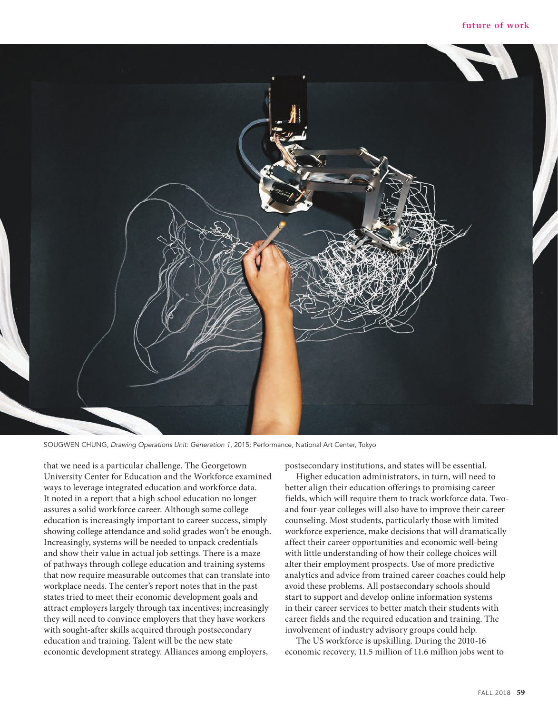

SOUGWEN CHUNG, *Drawing Operations Unit: Generation 1*, 2015*;* Performance, National Art Center, Tokyo

that we need is a particular challenge. The Georgetown University Center for Education and the Workforce examined ways to leverage integrated education and workforce data. It noted in a report that a high school education no longer assures a solid workforce career. Although some college education is increasingly important to career success, simply showing college attendance and solid grades won't be enough. Increasingly, systems will be needed to unpack credentials and show their value in actual job settings. There is a maze of pathways through college education and training systems that now require measurable outcomes that can translate into workplace needs. The center's report notes that in the past states tried to meet their economic development goals and attract employers largely through tax incentives; increasingly they will need to convince employers that they have workers with sought-after skills acquired through postsecondary education and training. Talent will be the new state economic development strategy. Alliances among employers,

postsecondary institutions, and states will be essential.

Higher education administrators, in turn, will need to better align their education offerings to promising career fields, which will require them to track workforce data. Twoand four-year colleges will also have to improve their career counseling. Most students, particularly those with limited workforce experience, make decisions that will dramatically affect their career opportunities and economic well-being with little understanding of how their college choices will alter their employment prospects. Use of more predictive analytics and advice from trained career coaches could help avoid these problems. All postsecondary schools should start to support and develop online information systems in their career services to better match their students with career fields and the required education and training. The involvement of industry advisory groups could help.

The US workforce is upskilling. During the 2010-16 economic recovery, 11.5 million of 11.6 million jobs went to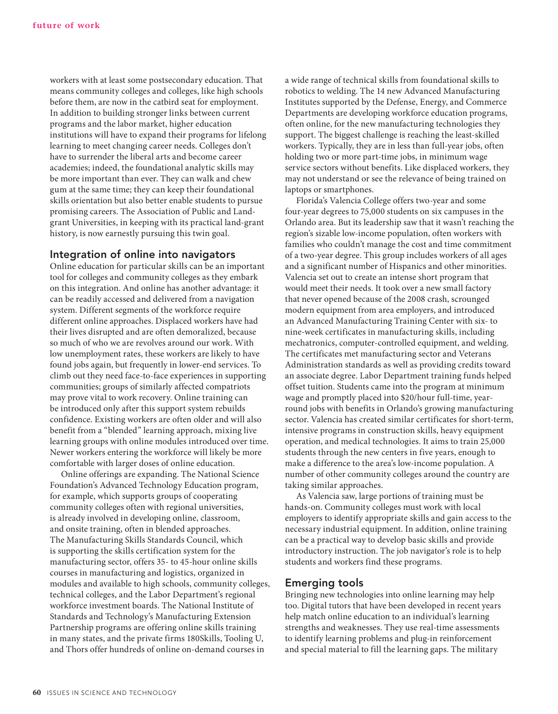workers with at least some postsecondary education. That means community colleges and colleges, like high schools before them, are now in the catbird seat for employment. In addition to building stronger links between current programs and the labor market, higher education institutions will have to expand their programs for lifelong learning to meet changing career needs. Colleges don't have to surrender the liberal arts and become career academies; indeed, the foundational analytic skills may be more important than ever. They can walk and chew gum at the same time; they can keep their foundational skills orientation but also better enable students to pursue promising careers. The Association of Public and Landgrant Universities, in keeping with its practical land-grant history, is now earnestly pursuing this twin goal.

#### **Integration of online into navigators**

Online education for particular skills can be an important tool for colleges and community colleges as they embark on this integration. And online has another advantage: it can be readily accessed and delivered from a navigation system. Different segments of the workforce require different online approaches. Displaced workers have had their lives disrupted and are often demoralized, because so much of who we are revolves around our work. With low unemployment rates, these workers are likely to have found jobs again, but frequently in lower-end services. To climb out they need face-to-face experiences in supporting communities; groups of similarly affected compatriots may prove vital to work recovery. Online training can be introduced only after this support system rebuilds confidence. Existing workers are often older and will also benefit from a "blended" learning approach, mixing live learning groups with online modules introduced over time. Newer workers entering the workforce will likely be more comfortable with larger doses of online education.

Online offerings are expanding. The National Science Foundation's Advanced Technology Education program, for example, which supports groups of cooperating community colleges often with regional universities, is already involved in developing online, classroom, and onsite training, often in blended approaches. The Manufacturing Skills Standards Council, which is supporting the skills certification system for the manufacturing sector, offers 35- to 45-hour online skills courses in manufacturing and logistics, organized in modules and available to high schools, community colleges, technical colleges, and the Labor Department's regional workforce investment boards. The National Institute of Standards and Technology's Manufacturing Extension Partnership programs are offering online skills training in many states, and the private firms 180Skills, Tooling U, and Thors offer hundreds of online on-demand courses in

a wide range of technical skills from foundational skills to robotics to welding. The 14 new Advanced Manufacturing Institutes supported by the Defense, Energy, and Commerce Departments are developing workforce education programs, often online, for the new manufacturing technologies they support. The biggest challenge is reaching the least-skilled workers. Typically, they are in less than full-year jobs, often holding two or more part-time jobs, in minimum wage service sectors without benefits. Like displaced workers, they may not understand or see the relevance of being trained on laptops or smartphones.

Florida's Valencia College offers two-year and some four-year degrees to 75,000 students on six campuses in the Orlando area. But its leadership saw that it wasn't reaching the region's sizable low-income population, often workers with families who couldn't manage the cost and time commitment of a two-year degree. This group includes workers of all ages and a significant number of Hispanics and other minorities. Valencia set out to create an intense short program that would meet their needs. It took over a new small factory that never opened because of the 2008 crash, scrounged modern equipment from area employers, and introduced an Advanced Manufacturing Training Center with six- to nine-week certificates in manufacturing skills, including mechatronics, computer-controlled equipment, and welding. The certificates met manufacturing sector and Veterans Administration standards as well as providing credits toward an associate degree. Labor Department training funds helped offset tuition. Students came into the program at minimum wage and promptly placed into \$20/hour full-time, yearround jobs with benefits in Orlando's growing manufacturing sector. Valencia has created similar certificates for short-term, intensive programs in construction skills, heavy equipment operation, and medical technologies. It aims to train 25,000 students through the new centers in five years, enough to make a difference to the area's low-income population. A number of other community colleges around the country are taking similar approaches.

As Valencia saw, large portions of training must be hands-on. Community colleges must work with local employers to identify appropriate skills and gain access to the necessary industrial equipment. In addition, online training can be a practical way to develop basic skills and provide introductory instruction. The job navigator's role is to help students and workers find these programs.

#### **Emerging tools**

Bringing new technologies into online learning may help too. Digital tutors that have been developed in recent years help match online education to an individual's learning strengths and weaknesses. They use real-time assessments to identify learning problems and plug-in reinforcement and special material to fill the learning gaps. The military